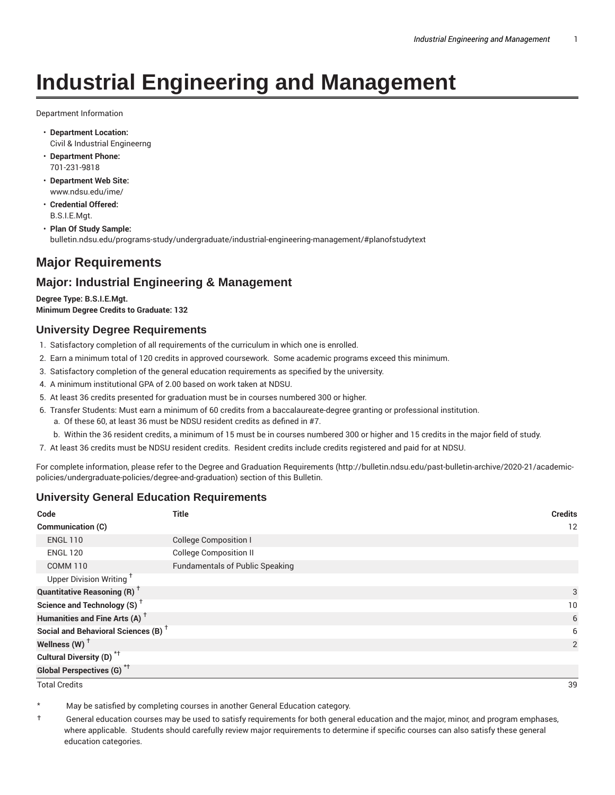# **Industrial Engineering and Management**

Department Information

- **Department Location:** Civil & Industrial Engineerng
- **Department Phone:** 701-231-9818
- **Department Web Site:** www.ndsu.edu/ime/
- **Credential Offered:** B.S.I.E.Mgt.
- **Plan Of Study Sample:** bulletin.ndsu.edu/programs-study/undergraduate/industrial-engineering-management/#planofstudytext

# **Major Requirements**

# **Major: Industrial Engineering & Management**

**Degree Type: B.S.I.E.Mgt. Minimum Degree Credits to Graduate: 132**

### **University Degree Requirements**

- 1. Satisfactory completion of all requirements of the curriculum in which one is enrolled.
- 2. Earn a minimum total of 120 credits in approved coursework. Some academic programs exceed this minimum.
- 3. Satisfactory completion of the general education requirements as specified by the university.
- 4. A minimum institutional GPA of 2.00 based on work taken at NDSU.
- 5. At least 36 credits presented for graduation must be in courses numbered 300 or higher.
- 6. Transfer Students: Must earn a minimum of 60 credits from a baccalaureate-degree granting or professional institution.
	- a. Of these 60, at least 36 must be NDSU resident credits as defined in #7.
	- b. Within the 36 resident credits, a minimum of 15 must be in courses numbered 300 or higher and 15 credits in the major field of study.
- 7. At least 36 credits must be NDSU resident credits. Resident credits include credits registered and paid for at NDSU.

For complete information, please refer to the Degree and Graduation Requirements (http://bulletin.ndsu.edu/past-bulletin-archive/2020-21/academicpolicies/undergraduate-policies/degree-and-graduation) section of this Bulletin.

### **University General Education Requirements**

| Code                                            | Title                                  | <b>Credits</b>  |  |
|-------------------------------------------------|----------------------------------------|-----------------|--|
| Communication (C)                               |                                        | 12              |  |
| <b>ENGL 110</b>                                 | <b>College Composition I</b>           |                 |  |
| <b>ENGL 120</b>                                 | <b>College Composition II</b>          |                 |  |
| <b>COMM 110</b>                                 | <b>Fundamentals of Public Speaking</b> |                 |  |
| Upper Division Writing <sup>+</sup>             |                                        |                 |  |
| <b>Quantitative Reasoning (R)</b> <sup>†</sup>  |                                        |                 |  |
| Science and Technology (S) <sup>+</sup>         |                                        | 10 <sup>°</sup> |  |
| Humanities and Fine Arts (A) <sup>+</sup>       |                                        | 6               |  |
| Social and Behavioral Sciences (B) <sup>+</sup> |                                        | 6               |  |
| Wellness $(W)$ <sup>+</sup>                     |                                        | 2               |  |
| Cultural Diversity (D) <sup>*†</sup>            |                                        |                 |  |
| <b>Global Perspectives (G)<sup>*†</sup></b>     |                                        |                 |  |

Total Credits 39

May be satisfied by completing courses in another General Education category.

† General education courses may be used to satisfy requirements for both general education and the major, minor, and program emphases, where applicable. Students should carefully review major requirements to determine if specific courses can also satisfy these general education categories.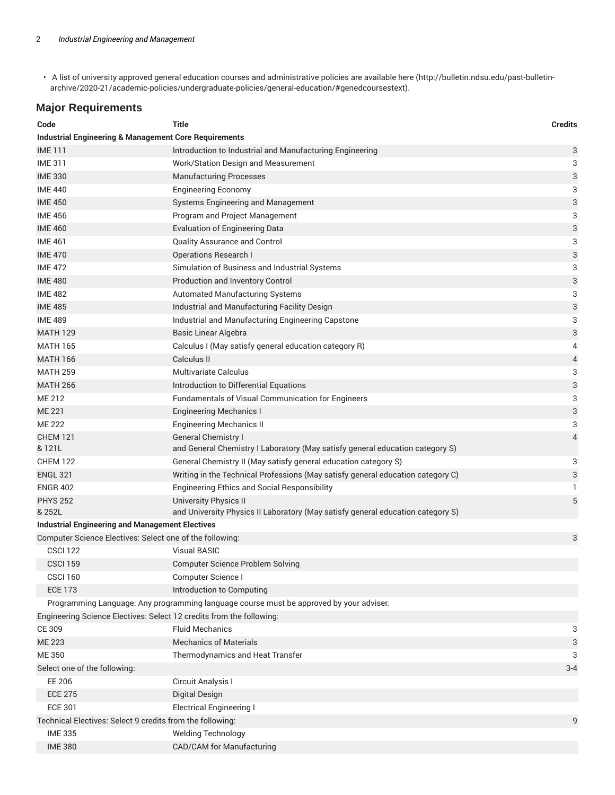• A list of university approved general education courses and administrative policies are available here (http://bulletin.ndsu.edu/past-bulletinarchive/2020-21/academic-policies/undergraduate-policies/general-education/#genedcoursestext).

# **Major Requirements**

| Code                                                                 | <b>Title</b>                                                                                                    | <b>Credits</b>            |  |  |
|----------------------------------------------------------------------|-----------------------------------------------------------------------------------------------------------------|---------------------------|--|--|
| <b>Industrial Engineering &amp; Management Core Requirements</b>     |                                                                                                                 |                           |  |  |
| <b>IME111</b>                                                        | Introduction to Industrial and Manufacturing Engineering                                                        | 3                         |  |  |
| <b>IME 311</b>                                                       | Work/Station Design and Measurement                                                                             | 3                         |  |  |
| <b>IME 330</b>                                                       | <b>Manufacturing Processes</b>                                                                                  | 3                         |  |  |
| <b>IME 440</b>                                                       | <b>Engineering Economy</b>                                                                                      | 3                         |  |  |
| <b>IME 450</b>                                                       | Systems Engineering and Management                                                                              | 3                         |  |  |
| <b>IME 456</b>                                                       | Program and Project Management                                                                                  | 3                         |  |  |
| <b>IME 460</b>                                                       | <b>Evaluation of Engineering Data</b>                                                                           | $\ensuremath{\mathsf{3}}$ |  |  |
| <b>IME 461</b>                                                       | Quality Assurance and Control                                                                                   | 3                         |  |  |
| <b>IME 470</b>                                                       | <b>Operations Research I</b>                                                                                    | 3                         |  |  |
| <b>IME 472</b>                                                       | Simulation of Business and Industrial Systems                                                                   | 3                         |  |  |
| <b>IME 480</b>                                                       | Production and Inventory Control                                                                                | 3                         |  |  |
| <b>IME 482</b>                                                       | Automated Manufacturing Systems                                                                                 | 3                         |  |  |
| <b>IME 485</b>                                                       | Industrial and Manufacturing Facility Design                                                                    | $\sqrt{3}$                |  |  |
| <b>IME 489</b>                                                       | Industrial and Manufacturing Engineering Capstone                                                               | 3                         |  |  |
| <b>MATH 129</b>                                                      | <b>Basic Linear Algebra</b>                                                                                     | 3                         |  |  |
| <b>MATH 165</b>                                                      | Calculus I (May satisfy general education category R)                                                           | 4                         |  |  |
| <b>MATH 166</b>                                                      | Calculus II                                                                                                     | 4                         |  |  |
| <b>MATH 259</b>                                                      | <b>Multivariate Calculus</b>                                                                                    | 3                         |  |  |
| <b>MATH 266</b>                                                      | Introduction to Differential Equations                                                                          | $\ensuremath{\mathsf{3}}$ |  |  |
| ME 212                                                               | Fundamentals of Visual Communication for Engineers                                                              | 3                         |  |  |
| <b>ME 221</b>                                                        | <b>Engineering Mechanics I</b>                                                                                  | 3                         |  |  |
| <b>ME 222</b>                                                        | <b>Engineering Mechanics II</b>                                                                                 | 3                         |  |  |
| <b>CHEM 121</b><br>& 121L                                            | <b>General Chemistry I</b><br>and General Chemistry I Laboratory (May satisfy general education category S)     | $\overline{4}$            |  |  |
| <b>CHEM 122</b>                                                      | General Chemistry II (May satisfy general education category S)                                                 | 3                         |  |  |
| <b>ENGL 321</b>                                                      | Writing in the Technical Professions (May satisfy general education category C)                                 | 3                         |  |  |
| <b>ENGR 402</b>                                                      | <b>Engineering Ethics and Social Responsibility</b>                                                             | 1                         |  |  |
| <b>PHYS 252</b><br>& 252L                                            | <b>University Physics II</b><br>and University Physics II Laboratory (May satisfy general education category S) | 5                         |  |  |
| <b>Industrial Engineering and Management Electives</b>               |                                                                                                                 |                           |  |  |
| Computer Science Electives: Select one of the following:             |                                                                                                                 | 3                         |  |  |
| <b>CSCI 122</b>                                                      | <b>Visual BASIC</b>                                                                                             |                           |  |  |
| <b>CSCI 159</b>                                                      | <b>Computer Science Problem Solving</b>                                                                         |                           |  |  |
| <b>CSCI 160</b>                                                      | Computer Science I                                                                                              |                           |  |  |
| <b>ECE 173</b>                                                       | Introduction to Computing                                                                                       |                           |  |  |
|                                                                      | Programming Language: Any programming language course must be approved by your adviser.                         |                           |  |  |
| Engineering Science Electives: Select 12 credits from the following: |                                                                                                                 |                           |  |  |
| CE 309                                                               | <b>Fluid Mechanics</b>                                                                                          | 3                         |  |  |
| <b>ME 223</b>                                                        | <b>Mechanics of Materials</b>                                                                                   | 3                         |  |  |
| ME 350                                                               | Thermodynamics and Heat Transfer                                                                                | 3                         |  |  |
| Select one of the following:                                         |                                                                                                                 | $3 - 4$                   |  |  |
| EE 206                                                               | Circuit Analysis I                                                                                              |                           |  |  |
| <b>ECE 275</b>                                                       | <b>Digital Design</b>                                                                                           |                           |  |  |
| <b>ECE 301</b>                                                       | <b>Electrical Engineering I</b>                                                                                 |                           |  |  |
| Technical Electives: Select 9 credits from the following:<br>9       |                                                                                                                 |                           |  |  |
| <b>IME 335</b>                                                       | <b>Welding Technology</b>                                                                                       |                           |  |  |
| <b>IME 380</b>                                                       | CAD/CAM for Manufacturing                                                                                       |                           |  |  |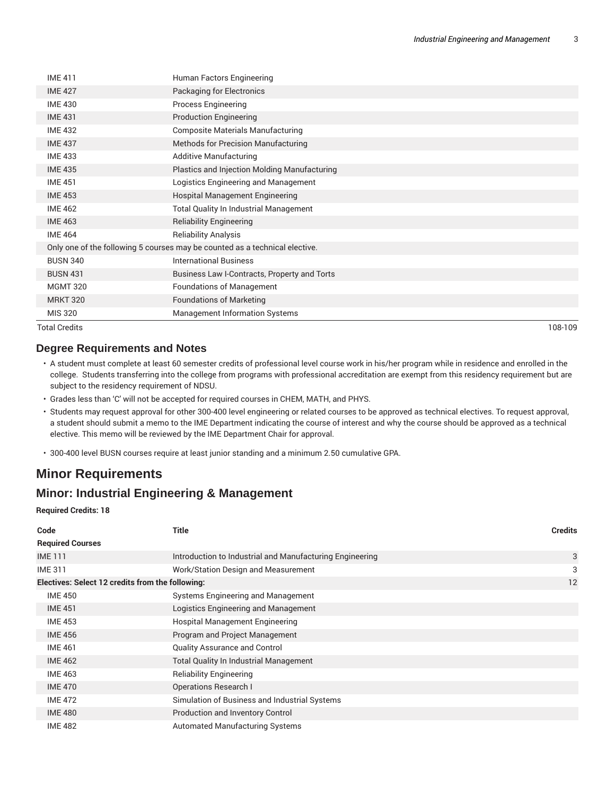|  | <b>Total Credits</b> |                                                                             | 108-109 |
|--|----------------------|-----------------------------------------------------------------------------|---------|
|  | MIS 320              | <b>Management Information Systems</b>                                       |         |
|  | <b>MRKT 320</b>      | <b>Foundations of Marketing</b>                                             |         |
|  | <b>MGMT 320</b>      | <b>Foundations of Management</b>                                            |         |
|  | <b>BUSN 431</b>      | Business Law I-Contracts, Property and Torts                                |         |
|  | <b>BUSN 340</b>      | <b>International Business</b>                                               |         |
|  |                      | Only one of the following 5 courses may be counted as a technical elective. |         |
|  | <b>IME 464</b>       | <b>Reliability Analysis</b>                                                 |         |
|  | <b>IME 463</b>       | <b>Reliability Engineering</b>                                              |         |
|  | <b>IME 462</b>       | <b>Total Quality In Industrial Management</b>                               |         |
|  | <b>IME 453</b>       | <b>Hospital Management Engineering</b>                                      |         |
|  | <b>IME 451</b>       | Logistics Engineering and Management                                        |         |
|  | <b>IME 435</b>       | Plastics and Injection Molding Manufacturing                                |         |
|  | <b>IME 433</b>       | <b>Additive Manufacturing</b>                                               |         |
|  | <b>IME 437</b>       | Methods for Precision Manufacturing                                         |         |
|  | <b>IME 432</b>       | <b>Composite Materials Manufacturing</b>                                    |         |
|  | <b>IME 431</b>       | <b>Production Engineering</b>                                               |         |
|  | <b>IME 430</b>       | Process Engineering                                                         |         |
|  | <b>IME 427</b>       | Packaging for Electronics                                                   |         |
|  | <b>IME 411</b>       | Human Factors Engineering                                                   |         |

### **Degree Requirements and Notes**

- A student must complete at least 60 semester credits of professional level course work in his/her program while in residence and enrolled in the college. Students transferring into the college from programs with professional accreditation are exempt from this residency requirement but are subject to the residency requirement of NDSU.
- Grades less than 'C' will not be accepted for required courses in CHEM, MATH, and PHYS.
- Students may request approval for other 300-400 level engineering or related courses to be approved as technical electives. To request approval, a student should submit a memo to the IME Department indicating the course of interest and why the course should be approved as a technical elective. This memo will be reviewed by the IME Department Chair for approval.
- 300-400 level BUSN courses require at least junior standing and a minimum 2.50 cumulative GPA.

# **Minor Requirements**

### **Minor: Industrial Engineering & Management**

**Required Credits: 18**

| Code                                             | <b>Title</b>                                             | <b>Credits</b> |
|--------------------------------------------------|----------------------------------------------------------|----------------|
| <b>Required Courses</b>                          |                                                          |                |
| <b>IME111</b>                                    | Introduction to Industrial and Manufacturing Engineering | 3              |
| <b>IME 311</b>                                   | Work/Station Design and Measurement                      | 3              |
| Electives: Select 12 credits from the following: |                                                          | 12             |
| <b>IME 450</b>                                   | Systems Engineering and Management                       |                |
| <b>IME 451</b>                                   | Logistics Engineering and Management                     |                |
| <b>IME 453</b>                                   | Hospital Management Engineering                          |                |
| <b>IME 456</b>                                   | Program and Project Management                           |                |
| <b>IME 461</b>                                   | <b>Quality Assurance and Control</b>                     |                |
| <b>IME 462</b>                                   | <b>Total Quality In Industrial Management</b>            |                |
| <b>IME 463</b>                                   | <b>Reliability Engineering</b>                           |                |
| <b>IME 470</b>                                   | <b>Operations Research I</b>                             |                |
| <b>IME 472</b>                                   | Simulation of Business and Industrial Systems            |                |
| <b>IME 480</b>                                   | Production and Inventory Control                         |                |
| <b>IME 482</b>                                   | <b>Automated Manufacturing Systems</b>                   |                |